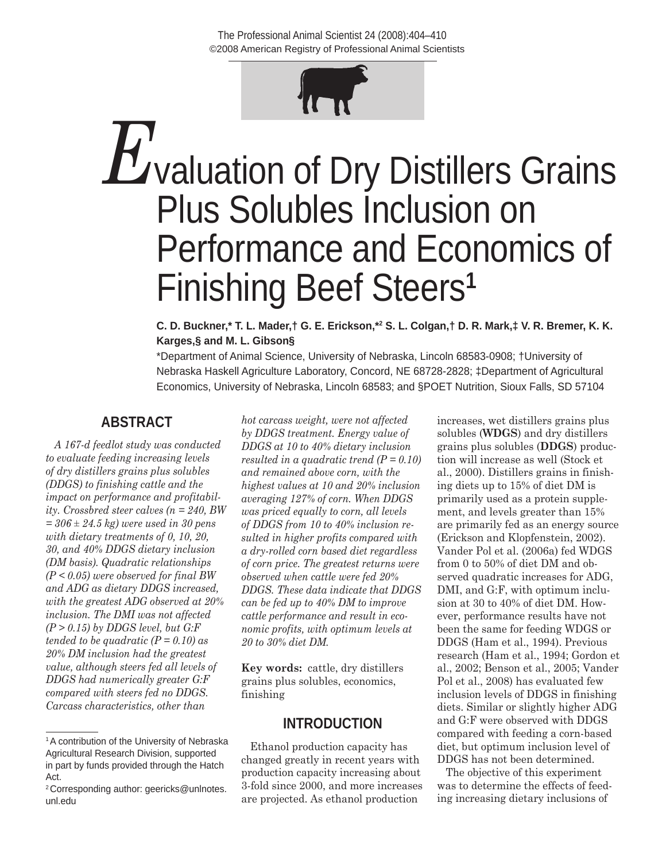©2008 American Registry of Professional Animal Scientists The Professional Animal Scientist 24 (2008):404–410



# *E*valuation of Dry Distillers Grains Plus Solubles Inclusion on Performance and Economics of Finishing Beef Steers**<sup>1</sup>**

**C. D. Buckner,\* T. L. Mader,† G. E. Erickson,\*2 S. L. Colgan,† D. R. Mark,‡ V. R. Bremer, K. K. Karges,§ and M. L. Gibson§**

\*Department of Animal Science, University of Nebraska, Lincoln 68583-0908; †University of Nebraska Haskell Agriculture Laboratory, Concord, NE 68728-2828; ‡Department of Agricultural Economics, University of Nebraska, Lincoln 68583; and §POET Nutrition, Sioux Falls, SD 57104

# **ABSTRACT**

*A 167-d feedlot study was conducted to evaluate feeding increasing levels of dry distillers grains plus solubles (DDGS) to finishing cattle and the impact on performance and profitability. Crossbred steer calves (n = 240, BW = 306 ± 24.5 kg) were used in 30 pens with dietary treatments of 0, 10, 20, 30, and 40% DDGS dietary inclusion (DM basis). Quadratic relationships (P < 0.05) were observed for final BW and ADG as dietary DDGS increased, with the greatest ADG observed at 20% inclusion. The DMI was not affected (P > 0.15) by DDGS level, but G:F tended to be quadratic (P = 0.10) as 20% DM inclusion had the greatest value, although steers fed all levels of DDGS had numerically greater G:F compared with steers fed no DDGS. Carcass characteristics, other than* 

*hot carcass weight, were not affected by DDGS treatment. Energy value of DDGS at 10 to 40% dietary inclusion resulted in a quadratic trend (P = 0.10) and remained above corn, with the highest values at 10 and 20% inclusion averaging 127% of corn. When DDGS was priced equally to corn, all levels of DDGS from 10 to 40% inclusion resulted in higher profits compared with a dry-rolled corn based diet regardless of corn price. The greatest returns were observed when cattle were fed 20% DDGS. These data indicate that DDGS can be fed up to 40% DM to improve cattle performance and result in economic profits, with optimum levels at 20 to 30% diet DM.*

**Key words:** cattle, dry distillers grains plus solubles, economics, finishing

# **INTRODUCTION**

Ethanol production capacity has changed greatly in recent years with production capacity increasing about 3-fold since 2000, and more increases are projected. As ethanol production

increases, wet distillers grains plus solubles (**WDGS**) and dry distillers grains plus solubles (**DDGS**) production will increase as well (Stock et al., 2000). Distillers grains in finishing diets up to 15% of diet DM is primarily used as a protein supplement, and levels greater than 15% are primarily fed as an energy source (Erickson and Klopfenstein, 2002). Vander Pol et al. (2006a) fed WDGS from 0 to 50% of diet DM and observed quadratic increases for ADG, DMI, and G:F, with optimum inclusion at 30 to 40% of diet DM. However, performance results have not been the same for feeding WDGS or DDGS (Ham et al., 1994). Previous research (Ham et al., 1994; Gordon et al., 2002; Benson et al., 2005; Vander Pol et al., 2008) has evaluated few inclusion levels of DDGS in finishing diets. Similar or slightly higher ADG and G:F were observed with DDGS compared with feeding a corn-based diet, but optimum inclusion level of DDGS has not been determined.

The objective of this experiment was to determine the effects of feeding increasing dietary inclusions of

<sup>&</sup>lt;sup>1</sup>A contribution of the University of Nebraska Agricultural Research Division, supported in part by funds provided through the Hatch Act.

<sup>2</sup>Corresponding author: geericks@unlnotes. unl.edu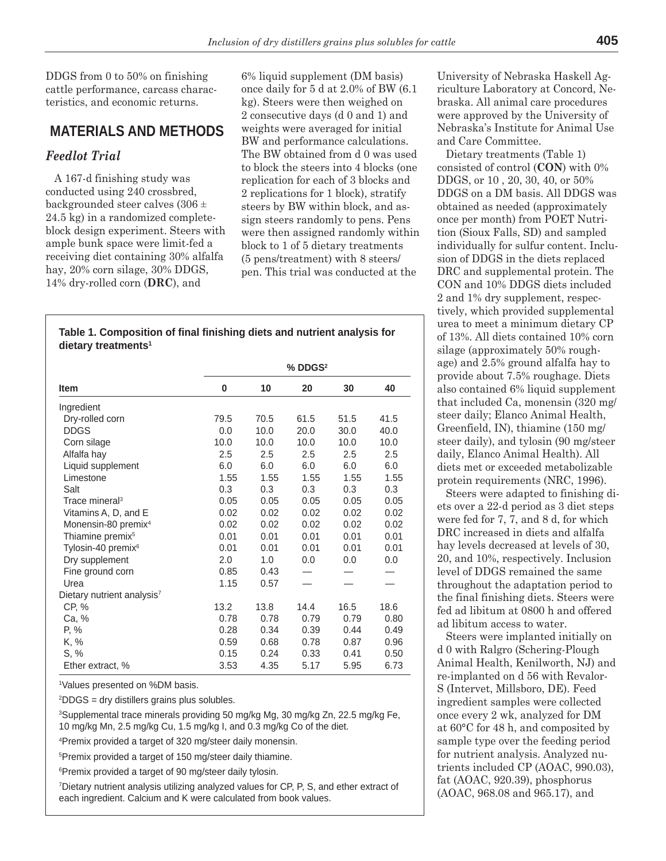DDGS from 0 to 50% on finishing cattle performance, carcass characteristics, and economic returns.

# **MATERIALS AND METHODS**

## *Feedlot Trial*

A 167-d finishing study was conducted using 240 crossbred, backgrounded steer calves (306 ± 24.5 kg) in a randomized completeblock design experiment. Steers with ample bunk space were limit-fed a receiving diet containing 30% alfalfa hay, 20% corn silage, 30% DDGS, 14% dry-rolled corn (**DRC**), and

6% liquid supplement (DM basis) once daily for 5 d at 2.0% of BW (6.1 kg). Steers were then weighed on 2 consecutive days (d 0 and 1) and weights were averaged for initial BW and performance calculations. The BW obtained from d 0 was used to block the steers into 4 blocks (one replication for each of 3 blocks and 2 replications for 1 block), stratify steers by BW within block, and assign steers randomly to pens. Pens were then assigned randomly within block to 1 of 5 dietary treatments (5 pens/treatment) with 8 steers/ pen. This trial was conducted at the

| Table 1. Composition of final finishing diets and nutrient analysis for |  |
|-------------------------------------------------------------------------|--|
| dietary treatments <sup>1</sup>                                         |  |

|                                        | $%$ DDGS $2$ |      |      |      |      |  |  |
|----------------------------------------|--------------|------|------|------|------|--|--|
| Item                                   | 0            | 10   | 20   | 30   | 40   |  |  |
| Ingredient                             |              |      |      |      |      |  |  |
| Dry-rolled corn                        | 79.5         | 70.5 | 61.5 | 51.5 | 41.5 |  |  |
| <b>DDGS</b>                            | 0.0          | 10.0 | 20.0 | 30.0 | 40.0 |  |  |
| Corn silage                            | 10.0         | 10.0 | 10.0 | 10.0 | 10.0 |  |  |
| Alfalfa hay                            | 2.5          | 2.5  | 2.5  | 2.5  | 2.5  |  |  |
| Liquid supplement                      | 6.0          | 6.0  | 6.0  | 6.0  | 6.0  |  |  |
| Limestone                              | 1.55         | 1.55 | 1.55 | 1.55 | 1.55 |  |  |
| Salt                                   | 0.3          | 0.3  | 0.3  | 0.3  | 0.3  |  |  |
| Trace mineral <sup>3</sup>             | 0.05         | 0.05 | 0.05 | 0.05 | 0.05 |  |  |
| Vitamins A, D, and E                   | 0.02         | 0.02 | 0.02 | 0.02 | 0.02 |  |  |
| Monensin-80 premix <sup>4</sup>        | 0.02         | 0.02 | 0.02 | 0.02 | 0.02 |  |  |
| Thiamine premix <sup>5</sup>           | 0.01         | 0.01 | 0.01 | 0.01 | 0.01 |  |  |
| Tylosin-40 premix <sup>6</sup>         | 0.01         | 0.01 | 0.01 | 0.01 | 0.01 |  |  |
| Dry supplement                         | 2.0          | 1.0  | 0.0  | 0.0  | 0.0  |  |  |
| Fine ground corn                       | 0.85         | 0.43 |      |      |      |  |  |
| Urea                                   | 1.15         | 0.57 |      |      |      |  |  |
| Dietary nutrient analysis <sup>7</sup> |              |      |      |      |      |  |  |
| CP, %                                  | 13.2         | 13.8 | 14.4 | 16.5 | 18.6 |  |  |
| Ca, %                                  | 0.78         | 0.78 | 0.79 | 0.79 | 0.80 |  |  |
| P, %                                   | 0.28         | 0.34 | 0.39 | 0.44 | 0.49 |  |  |
| K, %                                   | 0.59         | 0.68 | 0.78 | 0.87 | 0.96 |  |  |
| S, %                                   | 0.15         | 0.24 | 0.33 | 0.41 | 0.50 |  |  |
| Ether extract, %                       | 3.53         | 4.35 | 5.17 | 5.95 | 6.73 |  |  |

1 Values presented on %DM basis.

2 DDGS = dry distillers grains plus solubles.

3 Supplemental trace minerals providing 50 mg/kg Mg, 30 mg/kg Zn, 22.5 mg/kg Fe, 10 mg/kg Mn, 2.5 mg/kg Cu, 1.5 mg/kg I, and 0.3 mg/kg Co of the diet.

4 Premix provided a target of 320 mg/steer daily monensin.

5 Premix provided a target of 150 mg/steer daily thiamine.

6 Premix provided a target of 90 mg/steer daily tylosin.

7 Dietary nutrient analysis utilizing analyzed values for CP, P, S, and ether extract of each ingredient. Calcium and K were calculated from book values.

University of Nebraska Haskell Agriculture Laboratory at Concord, Nebraska. All animal care procedures were approved by the University of Nebraska's Institute for Animal Use and Care Committee.

Dietary treatments (Table 1) consisted of control (**CON**) with 0% DDGS, or 10 , 20, 30, 40, or 50% DDGS on a DM basis. All DDGS was obtained as needed (approximately once per month) from POET Nutrition (Sioux Falls, SD) and sampled individually for sulfur content. Inclusion of DDGS in the diets replaced DRC and supplemental protein. The CON and 10% DDGS diets included 2 and 1% dry supplement, respectively, which provided supplemental urea to meet a minimum dietary CP of 13%. All diets contained 10% corn silage (approximately 50% roughage) and 2.5% ground alfalfa hay to provide about 7.5% roughage. Diets also contained 6% liquid supplement that included Ca, monensin (320 mg/ steer daily; Elanco Animal Health, Greenfield, IN), thiamine (150 mg/ steer daily), and tylosin (90 mg/steer daily, Elanco Animal Health). All diets met or exceeded metabolizable protein requirements (NRC, 1996).

Steers were adapted to finishing diets over a 22-d period as 3 diet steps were fed for 7, 7, and 8 d, for which DRC increased in diets and alfalfa hay levels decreased at levels of 30, 20, and 10%, respectively. Inclusion level of DDGS remained the same throughout the adaptation period to the final finishing diets. Steers were fed ad libitum at 0800 h and offered ad libitum access to water.

Steers were implanted initially on d 0 with Ralgro (Schering-Plough Animal Health, Kenilworth, NJ) and re-implanted on d 56 with Revalor-S (Intervet, Millsboro, DE). Feed ingredient samples were collected once every 2 wk, analyzed for DM at 60°C for 48 h, and composited by sample type over the feeding period for nutrient analysis. Analyzed nutrients included CP (AOAC, 990.03), fat (AOAC, 920.39), phosphorus (AOAC, 968.08 and 965.17), and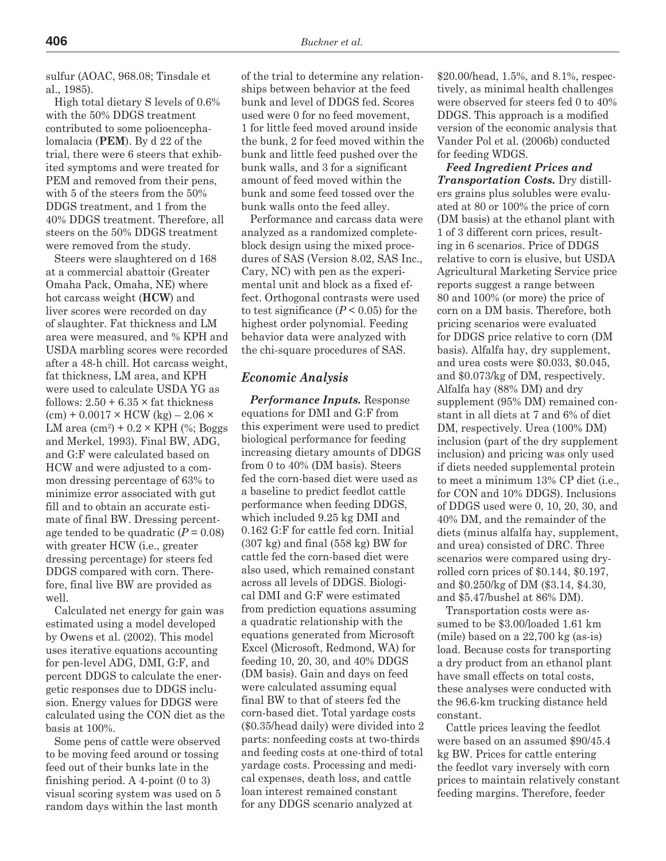sulfur (AOAC, 968.08; Tinsdale et al., 1985).

High total dietary S levels of 0.6% with the 50% DDGS treatment contributed to some polioencephalomalacia (**PEM**). By d 22 of the trial, there were 6 steers that exhibited symptoms and were treated for PEM and removed from their pens, with 5 of the steers from the 50% DDGS treatment, and 1 from the 40% DDGS treatment. Therefore, all steers on the 50% DDGS treatment were removed from the study.

Steers were slaughtered on d 168 at a commercial abattoir (Greater Omaha Pack, Omaha, NE) where hot carcass weight (**HCW**) and liver scores were recorded on day of slaughter. Fat thickness and LM area were measured, and % KPH and USDA marbling scores were recorded after a 48-h chill. Hot carcass weight, fat thickness, LM area, and KPH were used to calculate USDA YG as follows:  $2.50 + 6.35 \times$  fat thickness  $(cm) + 0.0017 \times$  HCW  $(kg) - 2.06 \times$ LM area  $\text{(cm)}^2 + 0.2 \times \text{KPH}$  (%; Boggs and Merkel, 1993). Final BW, ADG, and G:F were calculated based on HCW and were adjusted to a common dressing percentage of 63% to minimize error associated with gut fill and to obtain an accurate estimate of final BW. Dressing percentage tended to be quadratic  $(P = 0.08)$ with greater HCW (i.e., greater dressing percentage) for steers fed DDGS compared with corn. Therefore, final live BW are provided as well.

Calculated net energy for gain was estimated using a model developed by Owens et al. (2002). This model uses iterative equations accounting for pen-level ADG, DMI, G:F, and percent DDGS to calculate the energetic responses due to DDGS inclusion. Energy values for DDGS were calculated using the CON diet as the basis at 100%.

Some pens of cattle were observed to be moving feed around or tossing feed out of their bunks late in the finishing period. A 4-point (0 to 3) visual scoring system was used on 5 random days within the last month

of the trial to determine any relationships between behavior at the feed bunk and level of DDGS fed. Scores used were 0 for no feed movement, 1 for little feed moved around inside the bunk, 2 for feed moved within the bunk and little feed pushed over the bunk walls, and 3 for a significant amount of feed moved within the bunk and some feed tossed over the bunk walls onto the feed alley.

Performance and carcass data were analyzed as a randomized completeblock design using the mixed procedures of SAS (Version 8.02, SAS Inc., Cary, NC) with pen as the experimental unit and block as a fixed effect. Orthogonal contrasts were used to test significance  $(P < 0.05)$  for the highest order polynomial. Feeding behavior data were analyzed with the chi-square procedures of SAS.

#### *Economic Analysis*

*Performance Inputs.* Response equations for DMI and G:F from this experiment were used to predict biological performance for feeding increasing dietary amounts of DDGS from 0 to 40% (DM basis). Steers fed the corn-based diet were used as a baseline to predict feedlot cattle performance when feeding DDGS, which included 9.25 kg DMI and 0.162 G:F for cattle fed corn. Initial (307 kg) and final (558 kg) BW for cattle fed the corn-based diet were also used, which remained constant across all levels of DDGS. Biological DMI and G:F were estimated from prediction equations assuming a quadratic relationship with the equations generated from Microsoft Excel (Microsoft, Redmond, WA) for feeding 10, 20, 30, and 40% DDGS (DM basis). Gain and days on feed were calculated assuming equal final BW to that of steers fed the corn-based diet. Total yardage costs (\$0.35/head daily) were divided into 2 parts: nonfeeding costs at two-thirds and feeding costs at one-third of total yardage costs. Processing and medical expenses, death loss, and cattle loan interest remained constant for any DDGS scenario analyzed at

\$20.00/head, 1.5%, and 8.1%, respectively, as minimal health challenges were observed for steers fed 0 to 40% DDGS. This approach is a modified version of the economic analysis that Vander Pol et al. (2006b) conducted for feeding WDGS.

*Feed Ingredient Prices and Transportation Costs.* Dry distillers grains plus solubles were evaluated at 80 or 100% the price of corn (DM basis) at the ethanol plant with 1 of 3 different corn prices, resulting in 6 scenarios. Price of DDGS relative to corn is elusive, but USDA Agricultural Marketing Service price reports suggest a range between 80 and 100% (or more) the price of corn on a DM basis. Therefore, both pricing scenarios were evaluated for DDGS price relative to corn (DM basis). Alfalfa hay, dry supplement, and urea costs were \$0.033, \$0.045, and \$0.073/kg of DM, respectively. Alfalfa hay (88% DM) and dry supplement (95% DM) remained constant in all diets at 7 and 6% of diet DM, respectively. Urea (100% DM) inclusion (part of the dry supplement inclusion) and pricing was only used if diets needed supplemental protein to meet a minimum 13% CP diet (i.e., for CON and 10% DDGS). Inclusions of DDGS used were 0, 10, 20, 30, and 40% DM, and the remainder of the diets (minus alfalfa hay, supplement, and urea) consisted of DRC. Three scenarios were compared using dryrolled corn prices of \$0.144, \$0.197, and \$0.250/kg of DM (\$3.14, \$4.30, and \$5.47/bushel at 86% DM).

Transportation costs were assumed to be \$3.00/loaded 1.61 km (mile) based on a 22,700 kg (as-is) load. Because costs for transporting a dry product from an ethanol plant have small effects on total costs, these analyses were conducted with the 96.6-km trucking distance held constant.

Cattle prices leaving the feedlot were based on an assumed \$90/45.4 kg BW. Prices for cattle entering the feedlot vary inversely with corn prices to maintain relatively constant feeding margins. Therefore, feeder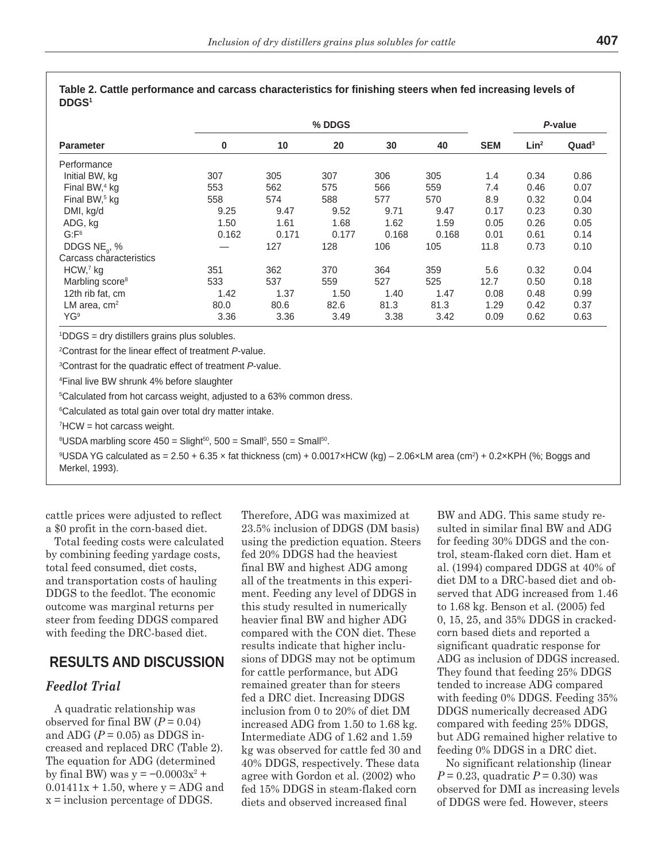| I  |  |
|----|--|
| ۰. |  |

|                             | % DDGS |       |       |       |       | P-value    |                  |                   |
|-----------------------------|--------|-------|-------|-------|-------|------------|------------------|-------------------|
| <b>Parameter</b>            | 0      | 10    | 20    | 30    | 40    | <b>SEM</b> | Lin <sup>2</sup> | Quad <sup>3</sup> |
| Performance                 |        |       |       |       |       |            |                  |                   |
| Initial BW, kg              | 307    | 305   | 307   | 306   | 305   | 1.4        | 0.34             | 0.86              |
| Final BW, <sup>4</sup> kg   | 553    | 562   | 575   | 566   | 559   | 7.4        | 0.46             | 0.07              |
| Final BW, <sup>5</sup> kg   | 558    | 574   | 588   | 577   | 570   | 8.9        | 0.32             | 0.04              |
| DMI, kg/d                   | 9.25   | 9.47  | 9.52  | 9.71  | 9.47  | 0.17       | 0.23             | 0.30              |
| ADG, kg                     | 1.50   | 1.61  | 1.68  | 1.62  | 1.59  | 0.05       | 0.26             | 0.05              |
| G: F <sup>6</sup>           | 0.162  | 0.171 | 0.177 | 0.168 | 0.168 | 0.01       | 0.61             | 0.14              |
| DDGS $NE_{a}$ , %           |        | 127   | 128   | 106   | 105   | 11.8       | 0.73             | 0.10              |
| Carcass characteristics     |        |       |       |       |       |            |                  |                   |
| HCW,7 kg                    | 351    | 362   | 370   | 364   | 359   | 5.6        | 0.32             | 0.04              |
| Marbling score <sup>8</sup> | 533    | 537   | 559   | 527   | 525   | 12.7       | 0.50             | 0.18              |
| 12th rib fat, cm            | 1.42   | 1.37  | 1.50  | 1.40  | 1.47  | 0.08       | 0.48             | 0.99              |
| LM area, $cm2$              | 80.0   | 80.6  | 82.6  | 81.3  | 81.3  | 1.29       | 0.42             | 0.37              |
| YG <sup>9</sup>             | 3.36   | 3.36  | 3.49  | 3.38  | 3.42  | 0.09       | 0.62             | 0.63              |

| Table 2. Cattle performance and carcass characteristics for finishing steers when fed increasing levels of |  |
|------------------------------------------------------------------------------------------------------------|--|
| <b>DDGS<sup>1</sup></b>                                                                                    |  |

1 DDGS = dry distillers grains plus solubles.

2 Contrast for the linear effect of treatment *P*-value.

3 Contrast for the quadratic effect of treatment *P*-value.

4 Final live BW shrunk 4% before slaughter

5 Calculated from hot carcass weight, adjusted to a 63% common dress.

6 Calculated as total gain over total dry matter intake.

 $^7$ HCW = hot carcass weight.

 ${}^{8}$ USDA marbling score 450 = Slight ${}^{50}$ , 500 = Small ${}^{0}$ , 550 = Small ${}^{50}$ .

9 USDA YG calculated as = 2.50 + 6.35 × fat thickness (cm) + 0.0017×HCW (kg) – 2.06×LM area (cm2 ) + 0.2×KPH (%; Boggs and Merkel, 1993).

cattle prices were adjusted to reflect a \$0 profit in the corn-based diet.

Total feeding costs were calculated by combining feeding yardage costs, total feed consumed, diet costs, and transportation costs of hauling DDGS to the feedlot. The economic outcome was marginal returns per steer from feeding DDGS compared with feeding the DRC-based diet.

## **RESULTS AND DISCUSSION**

## *Feedlot Trial*

A quadratic relationship was observed for final BW  $(P = 0.04)$ and ADG  $(P = 0.05)$  as DDGS increased and replaced DRC (Table 2). The equation for ADG (determined by final BW) was  $y = -0.0003x^2 +$  $0.01411x + 1.50$ , where  $y = ADC$  and x = inclusion percentage of DDGS.

Therefore, ADG was maximized at 23.5% inclusion of DDGS (DM basis) using the prediction equation. Steers fed 20% DDGS had the heaviest final BW and highest ADG among all of the treatments in this experiment. Feeding any level of DDGS in this study resulted in numerically heavier final BW and higher ADG compared with the CON diet. These results indicate that higher inclusions of DDGS may not be optimum for cattle performance, but ADG remained greater than for steers fed a DRC diet. Increasing DDGS inclusion from 0 to 20% of diet DM increased ADG from 1.50 to 1.68 kg. Intermediate ADG of 1.62 and 1.59 kg was observed for cattle fed 30 and 40% DDGS, respectively. These data agree with Gordon et al. (2002) who fed 15% DDGS in steam-flaked corn diets and observed increased final

BW and ADG. This same study resulted in similar final BW and ADG for feeding 30% DDGS and the control, steam-flaked corn diet. Ham et al. (1994) compared DDGS at 40% of diet DM to a DRC-based diet and observed that ADG increased from 1.46 to 1.68 kg. Benson et al. (2005) fed 0, 15, 25, and 35% DDGS in crackedcorn based diets and reported a significant quadratic response for ADG as inclusion of DDGS increased. They found that feeding 25% DDGS tended to increase ADG compared with feeding 0% DDGS. Feeding 35% DDGS numerically decreased ADG compared with feeding 25% DDGS, but ADG remained higher relative to feeding 0% DDGS in a DRC diet.

No significant relationship (linear *P* = 0.23, quadratic *P* = 0.30) was observed for DMI as increasing levels of DDGS were fed. However, steers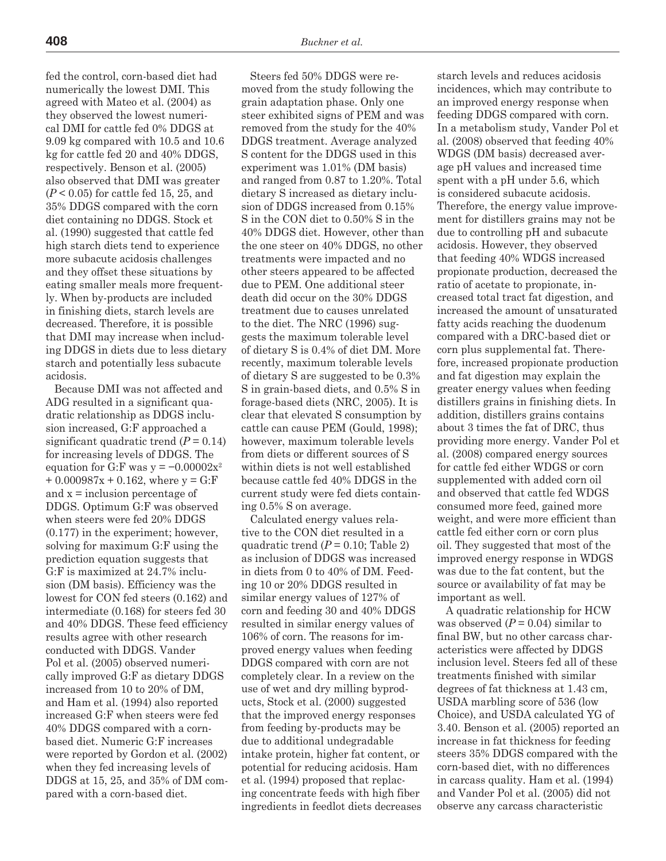fed the control, corn-based diet had numerically the lowest DMI. This agreed with Mateo et al. (2004) as they observed the lowest numerical DMI for cattle fed 0% DDGS at 9.09 kg compared with 10.5 and 10.6 kg for cattle fed 20 and 40% DDGS, respectively. Benson et al. (2005) also observed that DMI was greater (*P* < 0.05) for cattle fed 15, 25, and 35% DDGS compared with the corn diet containing no DDGS. Stock et al. (1990) suggested that cattle fed high starch diets tend to experience more subacute acidosis challenges and they offset these situations by eating smaller meals more frequently. When by-products are included in finishing diets, starch levels are decreased. Therefore, it is possible that DMI may increase when including DDGS in diets due to less dietary starch and potentially less subacute acidosis.

Because DMI was not affected and ADG resulted in a significant quadratic relationship as DDGS inclusion increased, G:F approached a significant quadratic trend  $(P = 0.14)$ for increasing levels of DDGS. The equation for G:F was y =  $-0.00002x^2$  $+0.000987x + 0.162$ , where  $y = G$ : F and x = inclusion percentage of DDGS. Optimum G:F was observed when steers were fed 20% DDGS (0.177) in the experiment; however, solving for maximum G:F using the prediction equation suggests that G:F is maximized at 24.7% inclusion (DM basis). Efficiency was the lowest for CON fed steers (0.162) and intermediate (0.168) for steers fed 30 and 40% DDGS. These feed efficiency results agree with other research conducted with DDGS. Vander Pol et al. (2005) observed numerically improved G:F as dietary DDGS increased from 10 to 20% of DM, and Ham et al. (1994) also reported increased G:F when steers were fed 40% DDGS compared with a cornbased diet. Numeric G:F increases were reported by Gordon et al. (2002) when they fed increasing levels of DDGS at 15, 25, and 35% of DM compared with a corn-based diet.

Steers fed 50% DDGS were removed from the study following the grain adaptation phase. Only one steer exhibited signs of PEM and was removed from the study for the 40% DDGS treatment. Average analyzed S content for the DDGS used in this experiment was 1.01% (DM basis) and ranged from 0.87 to 1.20%. Total dietary S increased as dietary inclusion of DDGS increased from 0.15% S in the CON diet to 0.50% S in the 40% DDGS diet. However, other than the one steer on 40% DDGS, no other treatments were impacted and no other steers appeared to be affected due to PEM. One additional steer death did occur on the 30% DDGS treatment due to causes unrelated to the diet. The NRC (1996) suggests the maximum tolerable level of dietary S is 0.4% of diet DM. More recently, maximum tolerable levels of dietary S are suggested to be 0.3% S in grain-based diets, and 0.5% S in forage-based diets (NRC, 2005). It is clear that elevated S consumption by cattle can cause PEM (Gould, 1998); however, maximum tolerable levels from diets or different sources of S within diets is not well established because cattle fed 40% DDGS in the current study were fed diets containing 0.5% S on average.

Calculated energy values relative to the CON diet resulted in a quadratic trend  $(P = 0.10;$  Table 2) as inclusion of DDGS was increased in diets from 0 to 40% of DM. Feeding 10 or 20% DDGS resulted in similar energy values of 127% of corn and feeding 30 and 40% DDGS resulted in similar energy values of 106% of corn. The reasons for improved energy values when feeding DDGS compared with corn are not completely clear. In a review on the use of wet and dry milling byproducts, Stock et al. (2000) suggested that the improved energy responses from feeding by-products may be due to additional undegradable intake protein, higher fat content, or potential for reducing acidosis. Ham et al. (1994) proposed that replacing concentrate feeds with high fiber ingredients in feedlot diets decreases

starch levels and reduces acidosis incidences, which may contribute to an improved energy response when feeding DDGS compared with corn. In a metabolism study, Vander Pol et al. (2008) observed that feeding 40% WDGS (DM basis) decreased average pH values and increased time spent with a pH under 5.6, which is considered subacute acidosis. Therefore, the energy value improvement for distillers grains may not be due to controlling pH and subacute acidosis. However, they observed that feeding 40% WDGS increased propionate production, decreased the ratio of acetate to propionate, increased total tract fat digestion, and increased the amount of unsaturated fatty acids reaching the duodenum compared with a DRC-based diet or corn plus supplemental fat. Therefore, increased propionate production and fat digestion may explain the greater energy values when feeding distillers grains in finishing diets. In addition, distillers grains contains about 3 times the fat of DRC, thus providing more energy. Vander Pol et al. (2008) compared energy sources for cattle fed either WDGS or corn supplemented with added corn oil and observed that cattle fed WDGS consumed more feed, gained more weight, and were more efficient than cattle fed either corn or corn plus oil. They suggested that most of the improved energy response in WDGS was due to the fat content, but the source or availability of fat may be important as well.

A quadratic relationship for HCW was observed  $(P = 0.04)$  similar to final BW, but no other carcass characteristics were affected by DDGS inclusion level. Steers fed all of these treatments finished with similar degrees of fat thickness at 1.43 cm, USDA marbling score of 536 (low Choice), and USDA calculated YG of 3.40. Benson et al. (2005) reported an increase in fat thickness for feeding steers 35% DDGS compared with the corn-based diet, with no differences in carcass quality. Ham et al. (1994) and Vander Pol et al. (2005) did not observe any carcass characteristic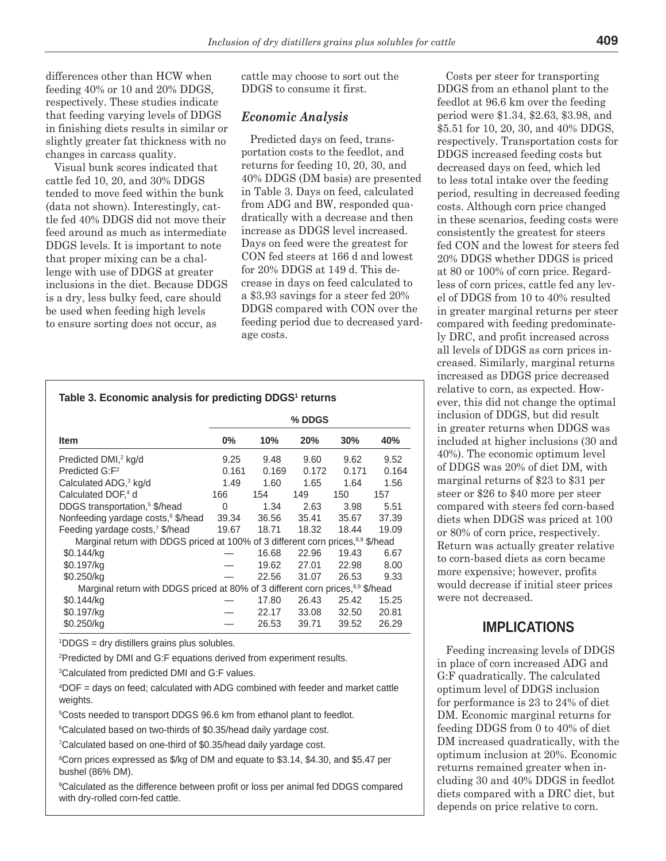differences other than HCW when feeding 40% or 10 and 20% DDGS, respectively. These studies indicate that feeding varying levels of DDGS in finishing diets results in similar or slightly greater fat thickness with no changes in carcass quality.

Visual bunk scores indicated that cattle fed 10, 20, and 30% DDGS tended to move feed within the bunk (data not shown). Interestingly, cattle fed 40% DDGS did not move their feed around as much as intermediate DDGS levels. It is important to note that proper mixing can be a challenge with use of DDGS at greater inclusions in the diet. Because DDGS is a dry, less bulky feed, care should be used when feeding high levels to ensure sorting does not occur, as

cattle may choose to sort out the DDGS to consume it first.

## *Economic Analysis*

Predicted days on feed, transportation costs to the feedlot, and returns for feeding 10, 20, 30, and 40% DDGS (DM basis) are presented in Table 3. Days on feed, calculated from ADG and BW, responded quadratically with a decrease and then increase as DDGS level increased. Days on feed were the greatest for CON fed steers at 166 d and lowest for 20% DDGS at 149 d. This decrease in days on feed calculated to a \$3.93 savings for a steer fed 20% DDGS compared with CON over the feeding period due to decreased yardage costs.

## **Table 3. Economic analysis for predicting DDGS1 returns**

|                                                                                             | % DDGS |       |       |       |       |  |
|---------------------------------------------------------------------------------------------|--------|-------|-------|-------|-------|--|
| <b>Item</b>                                                                                 | $0\%$  | 10%   | 20%   | 30%   | 40%   |  |
| Predicted DMI, <sup>2</sup> kg/d                                                            | 9.25   | 9.48  | 9.60  | 9.62  | 9.52  |  |
| Predicted G:F <sup>2</sup>                                                                  | 0.161  | 0.169 | 0.172 | 0.171 | 0.164 |  |
| Calculated ADG, <sup>3</sup> kg/d                                                           | 1.49   | 1.60  | 1.65  | 1.64  | 1.56  |  |
| Calculated DOF. <sup>4</sup> d                                                              | 166    | 154   | 149   | 150   | 157   |  |
| DDGS transportation, <sup>5</sup> \$/head                                                   | 0      | 1.34  | 2.63  | 3.98  | 5.51  |  |
| Nonfeeding yardage costs, <sup>6</sup> \$/head                                              | 39.34  | 36.56 | 35.41 | 35.67 | 37.39 |  |
| Feeding yardage costs, <sup>7</sup> \$/head                                                 | 19.67  | 18.71 | 18.32 | 18.44 | 19.09 |  |
| Marginal return with DDGS priced at 100% of 3 different corn prices, <sup>8,9</sup> \$/head |        |       |       |       |       |  |
| \$0.144/kq                                                                                  |        | 16.68 | 22.96 | 19.43 | 6.67  |  |
| \$0.197/kg                                                                                  |        | 19.62 | 27.01 | 22.98 | 8.00  |  |
| \$0.250/kg                                                                                  |        | 22.56 | 31.07 | 26.53 | 9.33  |  |
| Marginal return with DDGS priced at 80% of 3 different corn prices, <sup>8,9</sup> \$/head  |        |       |       |       |       |  |
| \$0.144/kg                                                                                  |        | 17.80 | 26.43 | 25.42 | 15.25 |  |
| \$0.197/kg                                                                                  |        | 22.17 | 33.08 | 32.50 | 20.81 |  |
| \$0.250/kg                                                                                  |        | 26.53 | 39.71 | 39.52 | 26.29 |  |

1 DDGS = dry distillers grains plus solubles.

2 Predicted by DMI and G:F equations derived from experiment results.

3 Calculated from predicted DMI and G:F values.

4 DOF = days on feed; calculated with ADG combined with feeder and market cattle weights.

5 Costs needed to transport DDGS 96.6 km from ethanol plant to feedlot.

6 Calculated based on two-thirds of \$0.35/head daily yardage cost.

7 Calculated based on one-third of \$0.35/head daily yardage cost.

8 Corn prices expressed as \$/kg of DM and equate to \$3.14, \$4.30, and \$5.47 per bushel (86% DM).

9 Calculated as the difference between profit or loss per animal fed DDGS compared with dry-rolled corn-fed cattle.

Costs per steer for transporting DDGS from an ethanol plant to the feedlot at 96.6 km over the feeding period were \$1.34, \$2.63, \$3.98, and \$5.51 for 10, 20, 30, and 40% DDGS, respectively. Transportation costs for DDGS increased feeding costs but decreased days on feed, which led to less total intake over the feeding period, resulting in decreased feeding costs. Although corn price changed in these scenarios, feeding costs were consistently the greatest for steers fed CON and the lowest for steers fed 20% DDGS whether DDGS is priced at 80 or 100% of corn price. Regardless of corn prices, cattle fed any level of DDGS from 10 to 40% resulted in greater marginal returns per steer compared with feeding predominately DRC, and profit increased across all levels of DDGS as corn prices increased. Similarly, marginal returns increased as DDGS price decreased relative to corn, as expected. However, this did not change the optimal inclusion of DDGS, but did result in greater returns when DDGS was included at higher inclusions (30 and 40%). The economic optimum level of DDGS was 20% of diet DM, with marginal returns of \$23 to \$31 per steer or \$26 to \$40 more per steer compared with steers fed corn-based diets when DDGS was priced at 100 or 80% of corn price, respectively. Return was actually greater relative to corn-based diets as corn became more expensive; however, profits would decrease if initial steer prices were not decreased.

## **IMPLICATIONS**

Feeding increasing levels of DDGS in place of corn increased ADG and G:F quadratically. The calculated optimum level of DDGS inclusion for performance is 23 to 24% of diet DM. Economic marginal returns for feeding DDGS from 0 to 40% of diet DM increased quadratically, with the optimum inclusion at 20%. Economic returns remained greater when including 30 and 40% DDGS in feedlot diets compared with a DRC diet, but depends on price relative to corn.